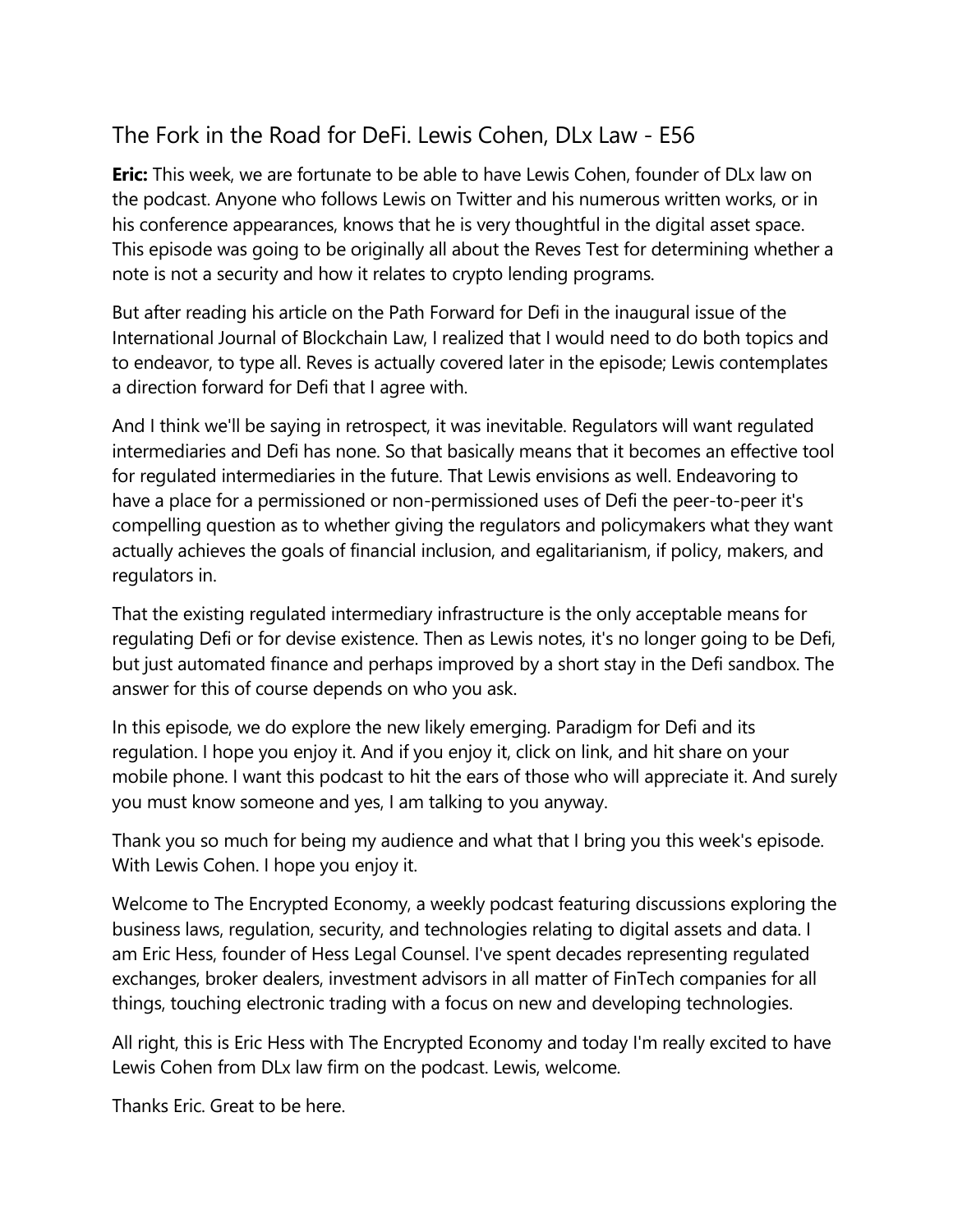# The Fork in the Road for DeFi. Lewis Cohen, DLx Law - E56

**Eric:** This week, we are fortunate to be able to have Lewis Cohen, founder of DLx law on the podcast. Anyone who follows Lewis on Twitter and his numerous written works, or in his conference appearances, knows that he is very thoughtful in the digital asset space. This episode was going to be originally all about the Reves Test for determining whether a note is not a security and how it relates to crypto lending programs.

But after reading his article on the Path Forward for Defi in the inaugural issue of the International Journal of Blockchain Law, I realized that I would need to do both topics and to endeavor, to type all. Reves is actually covered later in the episode; Lewis contemplates a direction forward for Defi that I agree with.

And I think we'll be saying in retrospect, it was inevitable. Regulators will want regulated intermediaries and Defi has none. So that basically means that it becomes an effective tool for regulated intermediaries in the future. That Lewis envisions as well. Endeavoring to have a place for a permissioned or non-permissioned uses of Defi the peer-to-peer it's compelling question as to whether giving the regulators and policymakers what they want actually achieves the goals of financial inclusion, and egalitarianism, if policy, makers, and regulators in.

That the existing regulated intermediary infrastructure is the only acceptable means for regulating Defi or for devise existence. Then as Lewis notes, it's no longer going to be Defi, but just automated finance and perhaps improved by a short stay in the Defi sandbox. The answer for this of course depends on who you ask.

In this episode, we do explore the new likely emerging. Paradigm for Defi and its regulation. I hope you enjoy it. And if you enjoy it, click on link, and hit share on your mobile phone. I want this podcast to hit the ears of those who will appreciate it. And surely you must know someone and yes, I am talking to you anyway.

Thank you so much for being my audience and what that I bring you this week's episode. With Lewis Cohen. I hope you enjoy it.

Welcome to The Encrypted Economy, a weekly podcast featuring discussions exploring the business laws, regulation, security, and technologies relating to digital assets and data. I am Eric Hess, founder of Hess Legal Counsel. I've spent decades representing regulated exchanges, broker dealers, investment advisors in all matter of FinTech companies for all things, touching electronic trading with a focus on new and developing technologies.

All right, this is Eric Hess with The Encrypted Economy and today I'm really excited to have Lewis Cohen from DLx law firm on the podcast. Lewis, welcome.

Thanks Eric. Great to be here.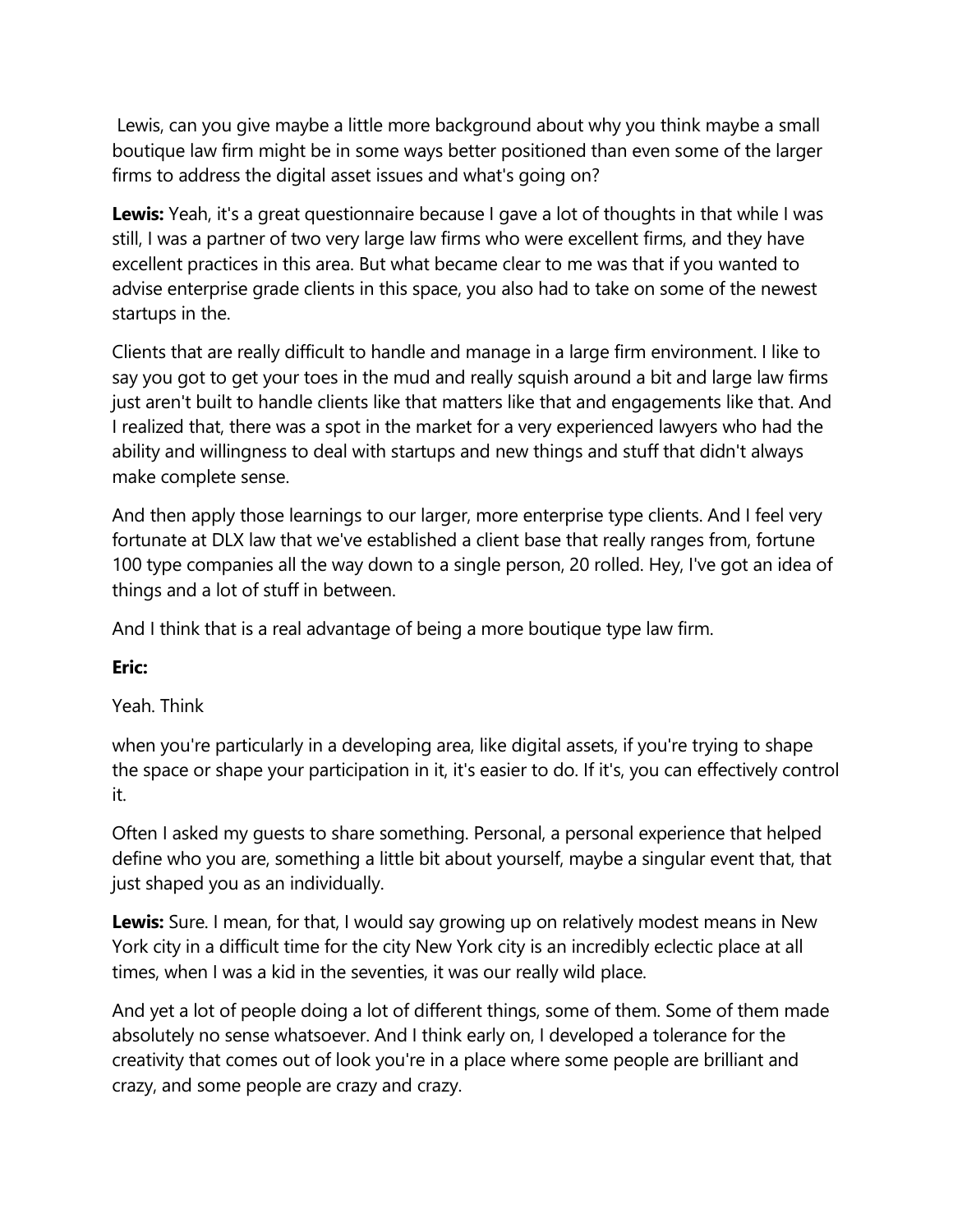Lewis, can you give maybe a little more background about why you think maybe a small boutique law firm might be in some ways better positioned than even some of the larger firms to address the digital asset issues and what's going on?

**Lewis:** Yeah, it's a great questionnaire because I gave a lot of thoughts in that while I was still, I was a partner of two very large law firms who were excellent firms, and they have excellent practices in this area. But what became clear to me was that if you wanted to advise enterprise grade clients in this space, you also had to take on some of the newest startups in the.

Clients that are really difficult to handle and manage in a large firm environment. I like to say you got to get your toes in the mud and really squish around a bit and large law firms just aren't built to handle clients like that matters like that and engagements like that. And I realized that, there was a spot in the market for a very experienced lawyers who had the ability and willingness to deal with startups and new things and stuff that didn't always make complete sense.

And then apply those learnings to our larger, more enterprise type clients. And I feel very fortunate at DLX law that we've established a client base that really ranges from, fortune 100 type companies all the way down to a single person, 20 rolled. Hey, I've got an idea of things and a lot of stuff in between.

And I think that is a real advantage of being a more boutique type law firm.

# **Eric:**

# Yeah. Think

when you're particularly in a developing area, like digital assets, if you're trying to shape the space or shape your participation in it, it's easier to do. If it's, you can effectively control it.

Often I asked my guests to share something. Personal, a personal experience that helped define who you are, something a little bit about yourself, maybe a singular event that, that just shaped you as an individually.

**Lewis:** Sure. I mean, for that, I would say growing up on relatively modest means in New York city in a difficult time for the city New York city is an incredibly eclectic place at all times, when I was a kid in the seventies, it was our really wild place.

And yet a lot of people doing a lot of different things, some of them. Some of them made absolutely no sense whatsoever. And I think early on, I developed a tolerance for the creativity that comes out of look you're in a place where some people are brilliant and crazy, and some people are crazy and crazy.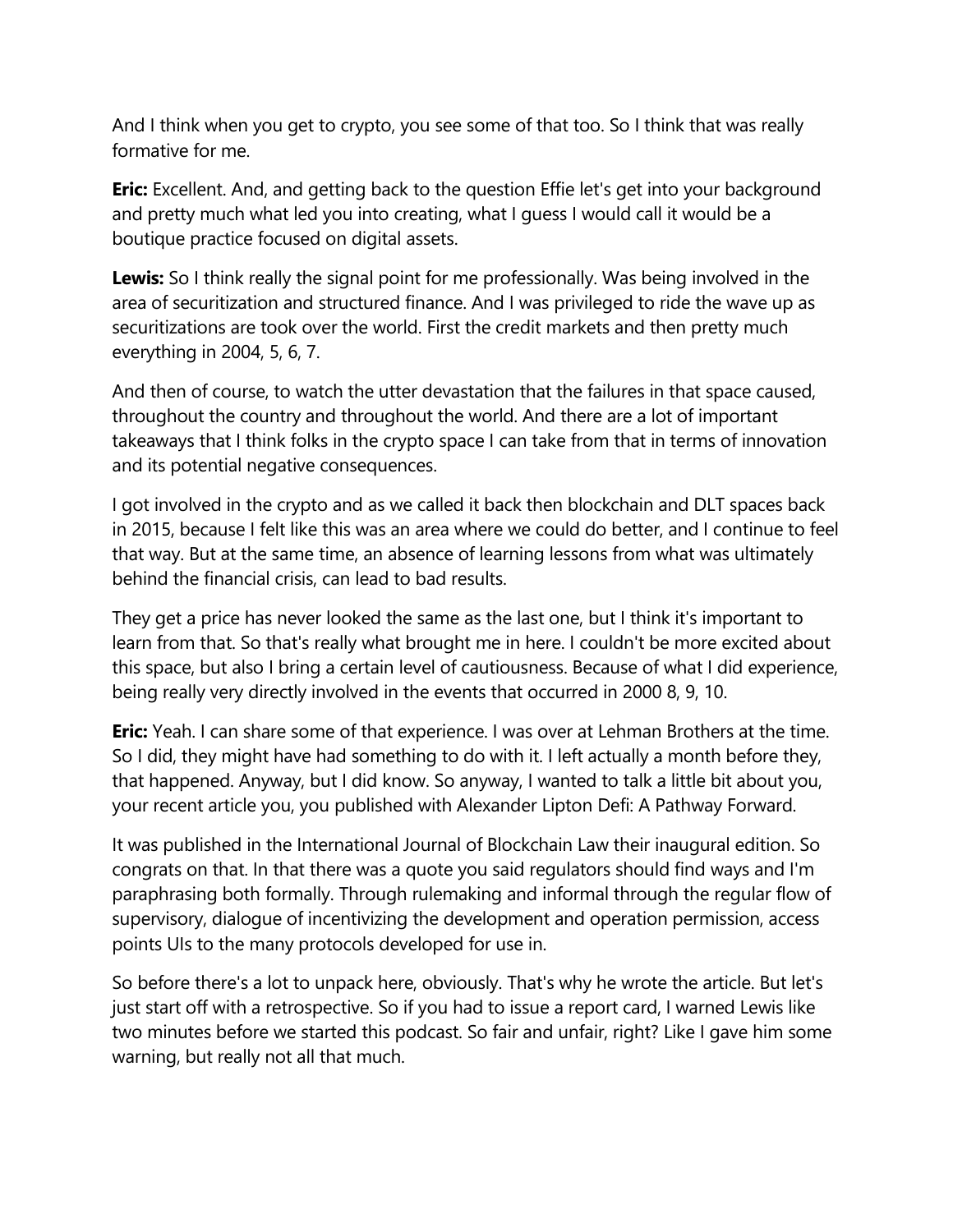And I think when you get to crypto, you see some of that too. So I think that was really formative for me.

**Eric:** Excellent. And, and getting back to the question Effie let's get into your background and pretty much what led you into creating, what I guess I would call it would be a boutique practice focused on digital assets.

**Lewis:** So I think really the signal point for me professionally. Was being involved in the area of securitization and structured finance. And I was privileged to ride the wave up as securitizations are took over the world. First the credit markets and then pretty much everything in 2004, 5, 6, 7.

And then of course, to watch the utter devastation that the failures in that space caused, throughout the country and throughout the world. And there are a lot of important takeaways that I think folks in the crypto space I can take from that in terms of innovation and its potential negative consequences.

I got involved in the crypto and as we called it back then blockchain and DLT spaces back in 2015, because I felt like this was an area where we could do better, and I continue to feel that way. But at the same time, an absence of learning lessons from what was ultimately behind the financial crisis, can lead to bad results.

They get a price has never looked the same as the last one, but I think it's important to learn from that. So that's really what brought me in here. I couldn't be more excited about this space, but also I bring a certain level of cautiousness. Because of what I did experience, being really very directly involved in the events that occurred in 2000 8, 9, 10.

**Eric:** Yeah. I can share some of that experience. I was over at Lehman Brothers at the time. So I did, they might have had something to do with it. I left actually a month before they, that happened. Anyway, but I did know. So anyway, I wanted to talk a little bit about you, your recent article you, you published with Alexander Lipton Defi: A Pathway Forward.

It was published in the International Journal of Blockchain Law their inaugural edition. So congrats on that. In that there was a quote you said regulators should find ways and I'm paraphrasing both formally. Through rulemaking and informal through the regular flow of supervisory, dialogue of incentivizing the development and operation permission, access points UIs to the many protocols developed for use in.

So before there's a lot to unpack here, obviously. That's why he wrote the article. But let's just start off with a retrospective. So if you had to issue a report card, I warned Lewis like two minutes before we started this podcast. So fair and unfair, right? Like I gave him some warning, but really not all that much.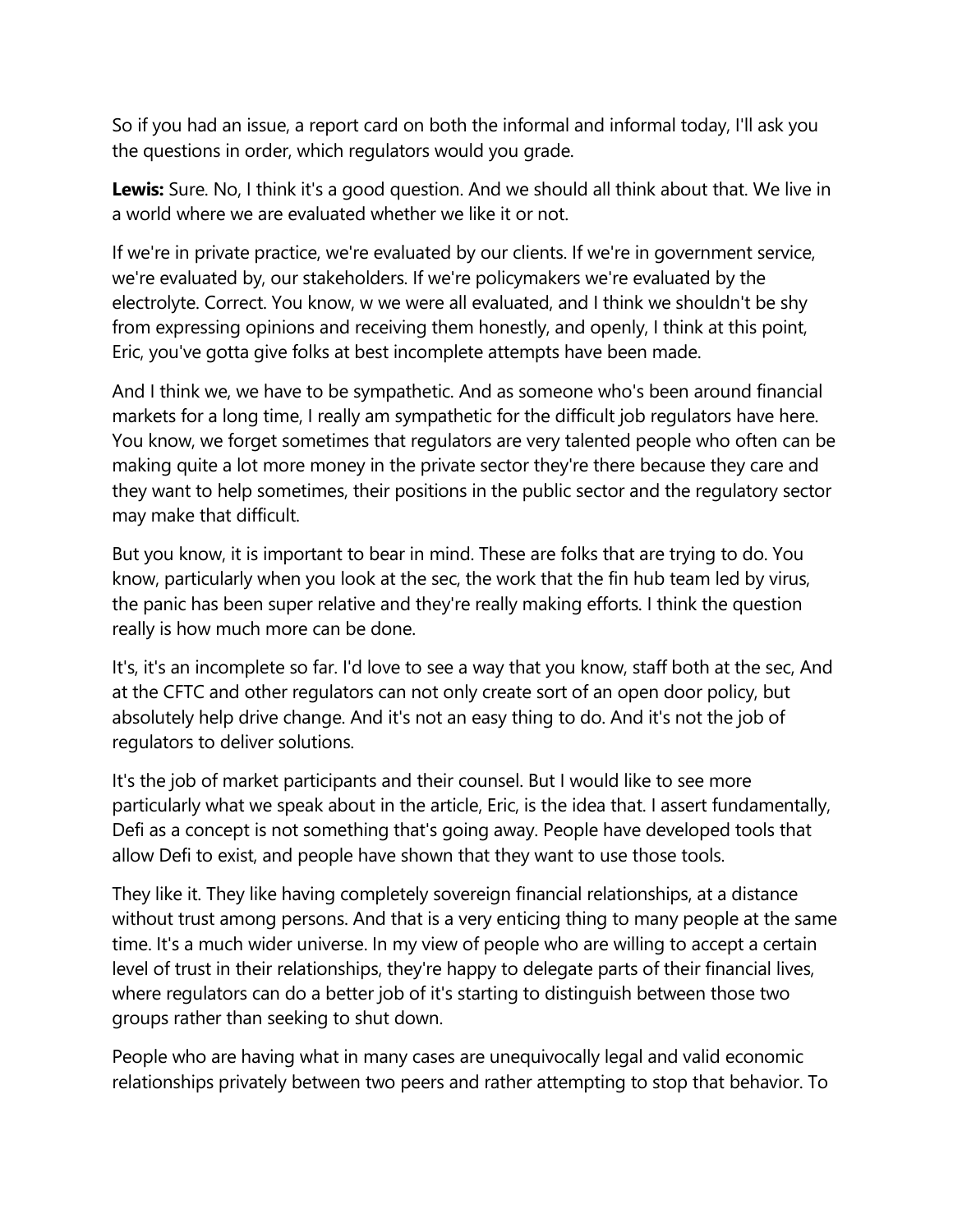So if you had an issue, a report card on both the informal and informal today, I'll ask you the questions in order, which regulators would you grade.

**Lewis:** Sure. No, I think it's a good question. And we should all think about that. We live in a world where we are evaluated whether we like it or not.

If we're in private practice, we're evaluated by our clients. If we're in government service, we're evaluated by, our stakeholders. If we're policymakers we're evaluated by the electrolyte. Correct. You know, w we were all evaluated, and I think we shouldn't be shy from expressing opinions and receiving them honestly, and openly, I think at this point, Eric, you've gotta give folks at best incomplete attempts have been made.

And I think we, we have to be sympathetic. And as someone who's been around financial markets for a long time, I really am sympathetic for the difficult job regulators have here. You know, we forget sometimes that regulators are very talented people who often can be making quite a lot more money in the private sector they're there because they care and they want to help sometimes, their positions in the public sector and the regulatory sector may make that difficult.

But you know, it is important to bear in mind. These are folks that are trying to do. You know, particularly when you look at the sec, the work that the fin hub team led by virus, the panic has been super relative and they're really making efforts. I think the question really is how much more can be done.

It's, it's an incomplete so far. I'd love to see a way that you know, staff both at the sec, And at the CFTC and other regulators can not only create sort of an open door policy, but absolutely help drive change. And it's not an easy thing to do. And it's not the job of regulators to deliver solutions.

It's the job of market participants and their counsel. But I would like to see more particularly what we speak about in the article, Eric, is the idea that. I assert fundamentally, Defi as a concept is not something that's going away. People have developed tools that allow Defi to exist, and people have shown that they want to use those tools.

They like it. They like having completely sovereign financial relationships, at a distance without trust among persons. And that is a very enticing thing to many people at the same time. It's a much wider universe. In my view of people who are willing to accept a certain level of trust in their relationships, they're happy to delegate parts of their financial lives, where regulators can do a better job of it's starting to distinguish between those two groups rather than seeking to shut down.

People who are having what in many cases are unequivocally legal and valid economic relationships privately between two peers and rather attempting to stop that behavior. To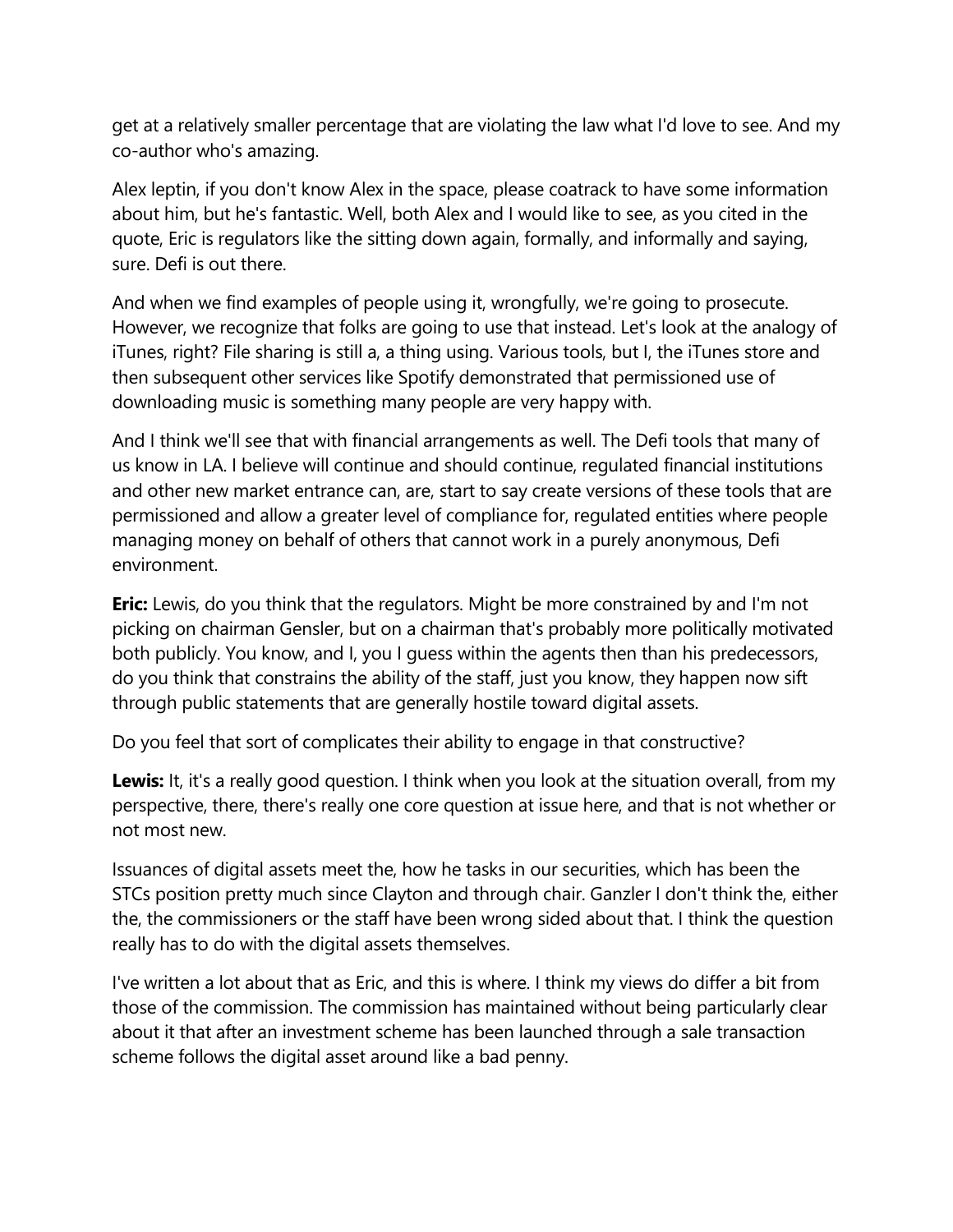get at a relatively smaller percentage that are violating the law what I'd love to see. And my co-author who's amazing.

Alex leptin, if you don't know Alex in the space, please coatrack to have some information about him, but he's fantastic. Well, both Alex and I would like to see, as you cited in the quote, Eric is regulators like the sitting down again, formally, and informally and saying, sure. Defi is out there.

And when we find examples of people using it, wrongfully, we're going to prosecute. However, we recognize that folks are going to use that instead. Let's look at the analogy of iTunes, right? File sharing is still a, a thing using. Various tools, but I, the iTunes store and then subsequent other services like Spotify demonstrated that permissioned use of downloading music is something many people are very happy with.

And I think we'll see that with financial arrangements as well. The Defi tools that many of us know in LA. I believe will continue and should continue, regulated financial institutions and other new market entrance can, are, start to say create versions of these tools that are permissioned and allow a greater level of compliance for, regulated entities where people managing money on behalf of others that cannot work in a purely anonymous, Defi environment.

**Eric:** Lewis, do you think that the regulators. Might be more constrained by and I'm not picking on chairman Gensler, but on a chairman that's probably more politically motivated both publicly. You know, and I, you I guess within the agents then than his predecessors, do you think that constrains the ability of the staff, just you know, they happen now sift through public statements that are generally hostile toward digital assets.

Do you feel that sort of complicates their ability to engage in that constructive?

**Lewis:** It, it's a really good question. I think when you look at the situation overall, from my perspective, there, there's really one core question at issue here, and that is not whether or not most new.

Issuances of digital assets meet the, how he tasks in our securities, which has been the STCs position pretty much since Clayton and through chair. Ganzler I don't think the, either the, the commissioners or the staff have been wrong sided about that. I think the question really has to do with the digital assets themselves.

I've written a lot about that as Eric, and this is where. I think my views do differ a bit from those of the commission. The commission has maintained without being particularly clear about it that after an investment scheme has been launched through a sale transaction scheme follows the digital asset around like a bad penny.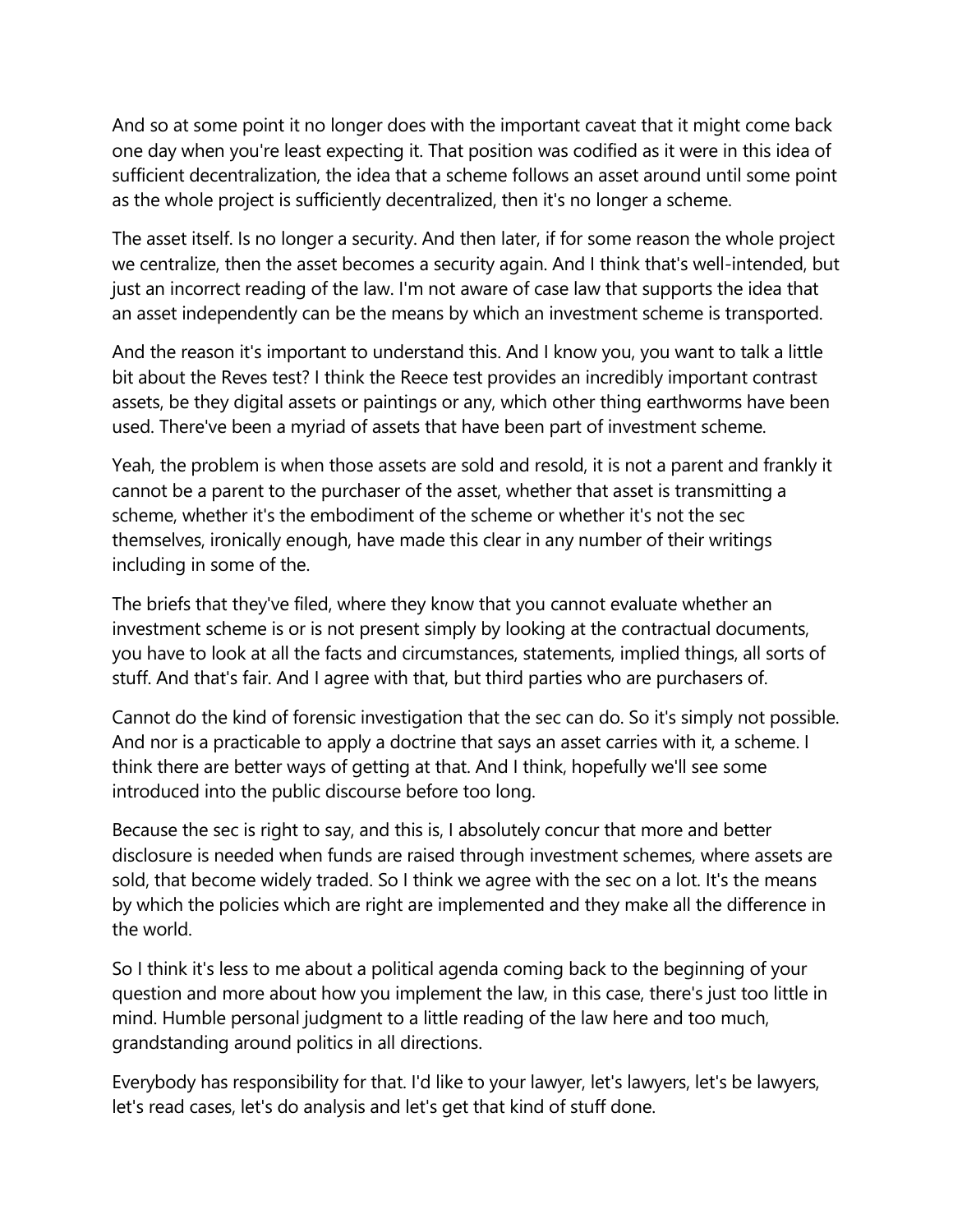And so at some point it no longer does with the important caveat that it might come back one day when you're least expecting it. That position was codified as it were in this idea of sufficient decentralization, the idea that a scheme follows an asset around until some point as the whole project is sufficiently decentralized, then it's no longer a scheme.

The asset itself. Is no longer a security. And then later, if for some reason the whole project we centralize, then the asset becomes a security again. And I think that's well-intended, but just an incorrect reading of the law. I'm not aware of case law that supports the idea that an asset independently can be the means by which an investment scheme is transported.

And the reason it's important to understand this. And I know you, you want to talk a little bit about the Reves test? I think the Reece test provides an incredibly important contrast assets, be they digital assets or paintings or any, which other thing earthworms have been used. There've been a myriad of assets that have been part of investment scheme.

Yeah, the problem is when those assets are sold and resold, it is not a parent and frankly it cannot be a parent to the purchaser of the asset, whether that asset is transmitting a scheme, whether it's the embodiment of the scheme or whether it's not the sec themselves, ironically enough, have made this clear in any number of their writings including in some of the.

The briefs that they've filed, where they know that you cannot evaluate whether an investment scheme is or is not present simply by looking at the contractual documents, you have to look at all the facts and circumstances, statements, implied things, all sorts of stuff. And that's fair. And I agree with that, but third parties who are purchasers of.

Cannot do the kind of forensic investigation that the sec can do. So it's simply not possible. And nor is a practicable to apply a doctrine that says an asset carries with it, a scheme. I think there are better ways of getting at that. And I think, hopefully we'll see some introduced into the public discourse before too long.

Because the sec is right to say, and this is, I absolutely concur that more and better disclosure is needed when funds are raised through investment schemes, where assets are sold, that become widely traded. So I think we agree with the sec on a lot. It's the means by which the policies which are right are implemented and they make all the difference in the world.

So I think it's less to me about a political agenda coming back to the beginning of your question and more about how you implement the law, in this case, there's just too little in mind. Humble personal judgment to a little reading of the law here and too much, grandstanding around politics in all directions.

Everybody has responsibility for that. I'd like to your lawyer, let's lawyers, let's be lawyers, let's read cases, let's do analysis and let's get that kind of stuff done.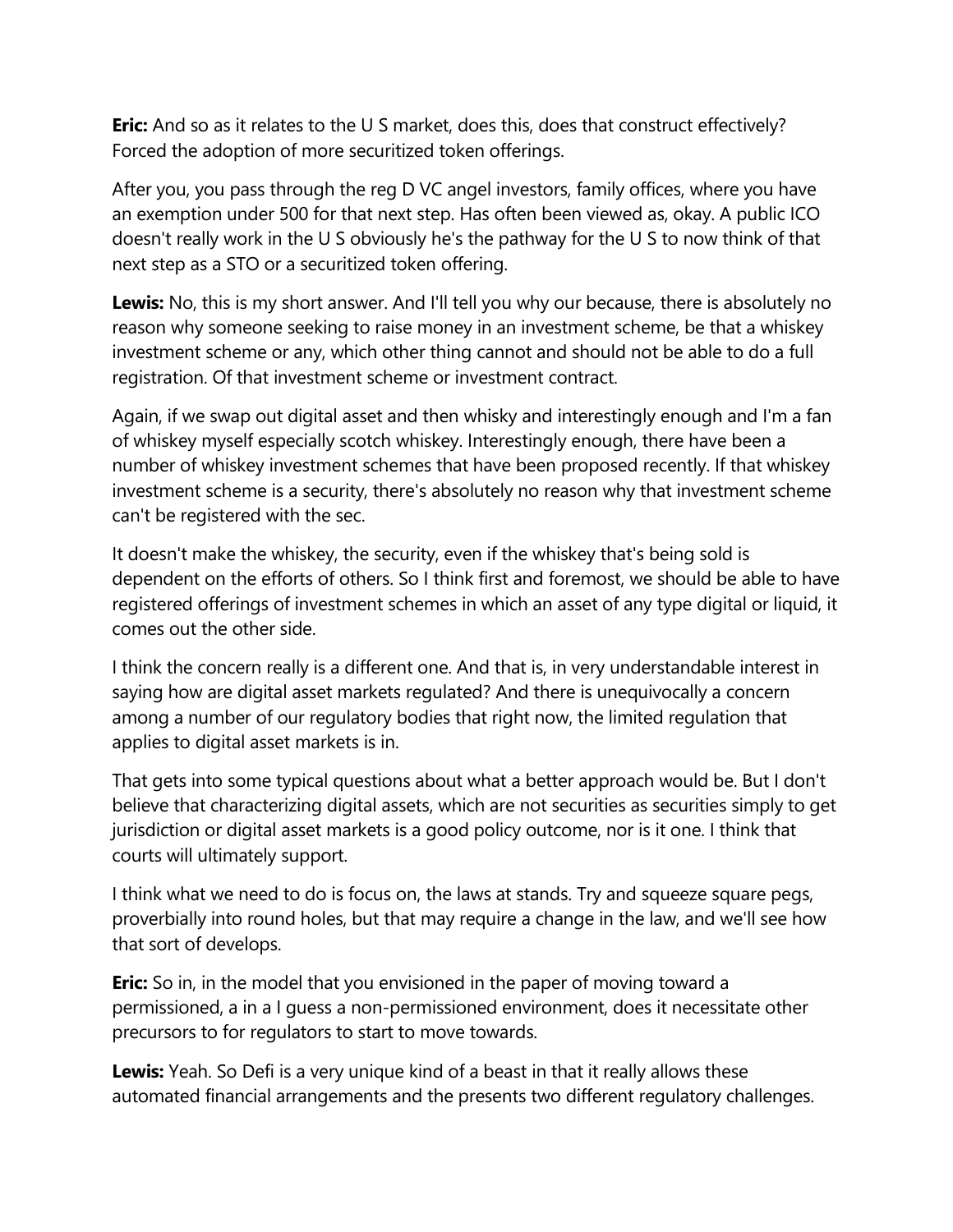**Eric:** And so as it relates to the U S market, does this, does that construct effectively? Forced the adoption of more securitized token offerings.

After you, you pass through the reg D VC angel investors, family offices, where you have an exemption under 500 for that next step. Has often been viewed as, okay. A public ICO doesn't really work in the U S obviously he's the pathway for the U S to now think of that next step as a STO or a securitized token offering.

**Lewis:** No, this is my short answer. And I'll tell you why our because, there is absolutely no reason why someone seeking to raise money in an investment scheme, be that a whiskey investment scheme or any, which other thing cannot and should not be able to do a full registration. Of that investment scheme or investment contract.

Again, if we swap out digital asset and then whisky and interestingly enough and I'm a fan of whiskey myself especially scotch whiskey. Interestingly enough, there have been a number of whiskey investment schemes that have been proposed recently. If that whiskey investment scheme is a security, there's absolutely no reason why that investment scheme can't be registered with the sec.

It doesn't make the whiskey, the security, even if the whiskey that's being sold is dependent on the efforts of others. So I think first and foremost, we should be able to have registered offerings of investment schemes in which an asset of any type digital or liquid, it comes out the other side.

I think the concern really is a different one. And that is, in very understandable interest in saying how are digital asset markets regulated? And there is unequivocally a concern among a number of our regulatory bodies that right now, the limited regulation that applies to digital asset markets is in.

That gets into some typical questions about what a better approach would be. But I don't believe that characterizing digital assets, which are not securities as securities simply to get jurisdiction or digital asset markets is a good policy outcome, nor is it one. I think that courts will ultimately support.

I think what we need to do is focus on, the laws at stands. Try and squeeze square pegs, proverbially into round holes, but that may require a change in the law, and we'll see how that sort of develops.

**Eric:** So in, in the model that you envisioned in the paper of moving toward a permissioned, a in a I guess a non-permissioned environment, does it necessitate other precursors to for regulators to start to move towards.

**Lewis:** Yeah. So Defi is a very unique kind of a beast in that it really allows these automated financial arrangements and the presents two different regulatory challenges.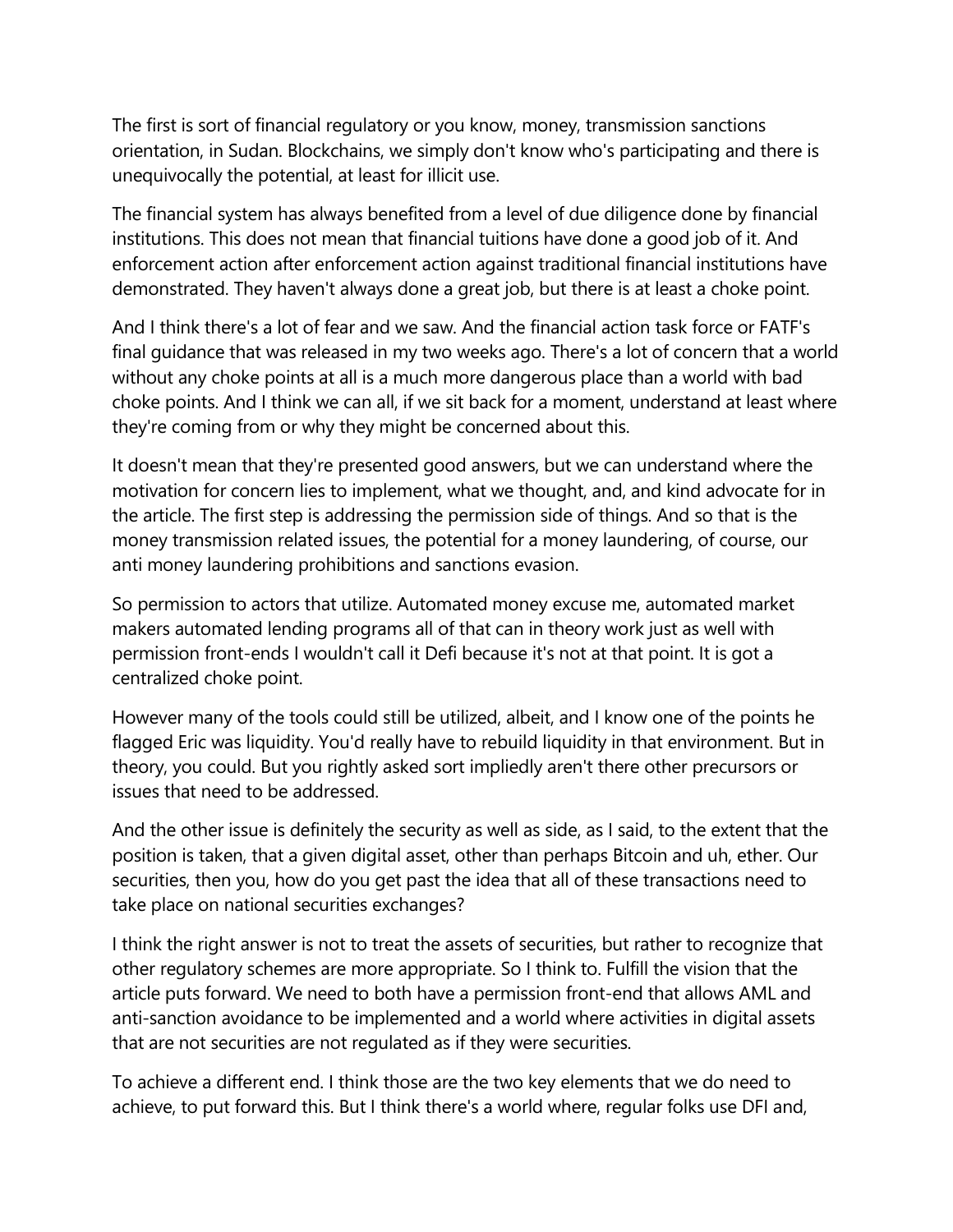The first is sort of financial regulatory or you know, money, transmission sanctions orientation, in Sudan. Blockchains, we simply don't know who's participating and there is unequivocally the potential, at least for illicit use.

The financial system has always benefited from a level of due diligence done by financial institutions. This does not mean that financial tuitions have done a good job of it. And enforcement action after enforcement action against traditional financial institutions have demonstrated. They haven't always done a great job, but there is at least a choke point.

And I think there's a lot of fear and we saw. And the financial action task force or FATF's final guidance that was released in my two weeks ago. There's a lot of concern that a world without any choke points at all is a much more dangerous place than a world with bad choke points. And I think we can all, if we sit back for a moment, understand at least where they're coming from or why they might be concerned about this.

It doesn't mean that they're presented good answers, but we can understand where the motivation for concern lies to implement, what we thought, and, and kind advocate for in the article. The first step is addressing the permission side of things. And so that is the money transmission related issues, the potential for a money laundering, of course, our anti money laundering prohibitions and sanctions evasion.

So permission to actors that utilize. Automated money excuse me, automated market makers automated lending programs all of that can in theory work just as well with permission front-ends I wouldn't call it Defi because it's not at that point. It is got a centralized choke point.

However many of the tools could still be utilized, albeit, and I know one of the points he flagged Eric was liquidity. You'd really have to rebuild liquidity in that environment. But in theory, you could. But you rightly asked sort impliedly aren't there other precursors or issues that need to be addressed.

And the other issue is definitely the security as well as side, as I said, to the extent that the position is taken, that a given digital asset, other than perhaps Bitcoin and uh, ether. Our securities, then you, how do you get past the idea that all of these transactions need to take place on national securities exchanges?

I think the right answer is not to treat the assets of securities, but rather to recognize that other regulatory schemes are more appropriate. So I think to. Fulfill the vision that the article puts forward. We need to both have a permission front-end that allows AML and anti-sanction avoidance to be implemented and a world where activities in digital assets that are not securities are not regulated as if they were securities.

To achieve a different end. I think those are the two key elements that we do need to achieve, to put forward this. But I think there's a world where, regular folks use DFI and,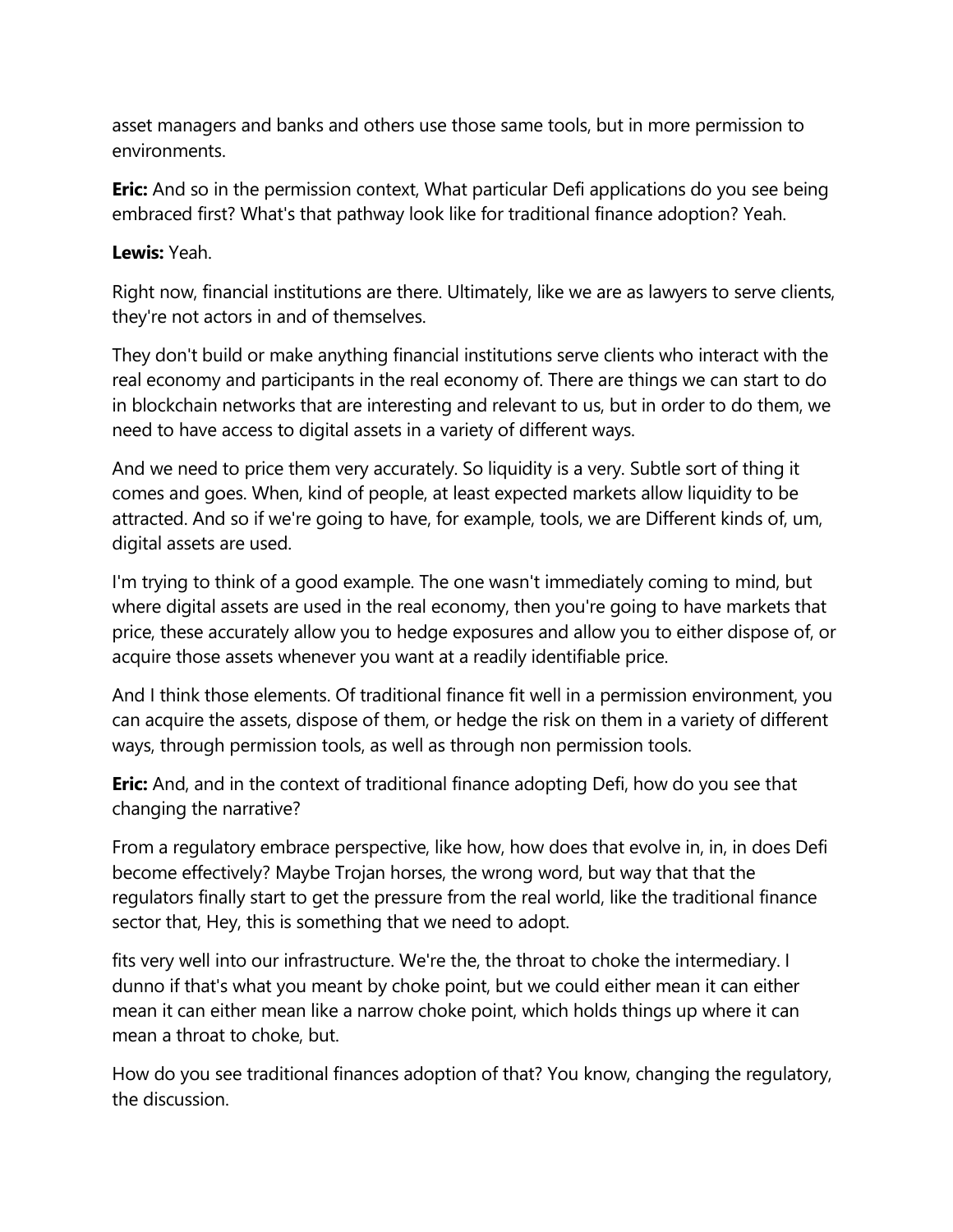asset managers and banks and others use those same tools, but in more permission to environments.

**Eric:** And so in the permission context, What particular Defi applications do you see being embraced first? What's that pathway look like for traditional finance adoption? Yeah.

#### **Lewis:** Yeah.

Right now, financial institutions are there. Ultimately, like we are as lawyers to serve clients, they're not actors in and of themselves.

They don't build or make anything financial institutions serve clients who interact with the real economy and participants in the real economy of. There are things we can start to do in blockchain networks that are interesting and relevant to us, but in order to do them, we need to have access to digital assets in a variety of different ways.

And we need to price them very accurately. So liquidity is a very. Subtle sort of thing it comes and goes. When, kind of people, at least expected markets allow liquidity to be attracted. And so if we're going to have, for example, tools, we are Different kinds of, um, digital assets are used.

I'm trying to think of a good example. The one wasn't immediately coming to mind, but where digital assets are used in the real economy, then you're going to have markets that price, these accurately allow you to hedge exposures and allow you to either dispose of, or acquire those assets whenever you want at a readily identifiable price.

And I think those elements. Of traditional finance fit well in a permission environment, you can acquire the assets, dispose of them, or hedge the risk on them in a variety of different ways, through permission tools, as well as through non permission tools.

**Eric:** And, and in the context of traditional finance adopting Defi, how do you see that changing the narrative?

From a regulatory embrace perspective, like how, how does that evolve in, in, in does Defi become effectively? Maybe Trojan horses, the wrong word, but way that that the regulators finally start to get the pressure from the real world, like the traditional finance sector that, Hey, this is something that we need to adopt.

fits very well into our infrastructure. We're the, the throat to choke the intermediary. I dunno if that's what you meant by choke point, but we could either mean it can either mean it can either mean like a narrow choke point, which holds things up where it can mean a throat to choke, but.

How do you see traditional finances adoption of that? You know, changing the regulatory, the discussion.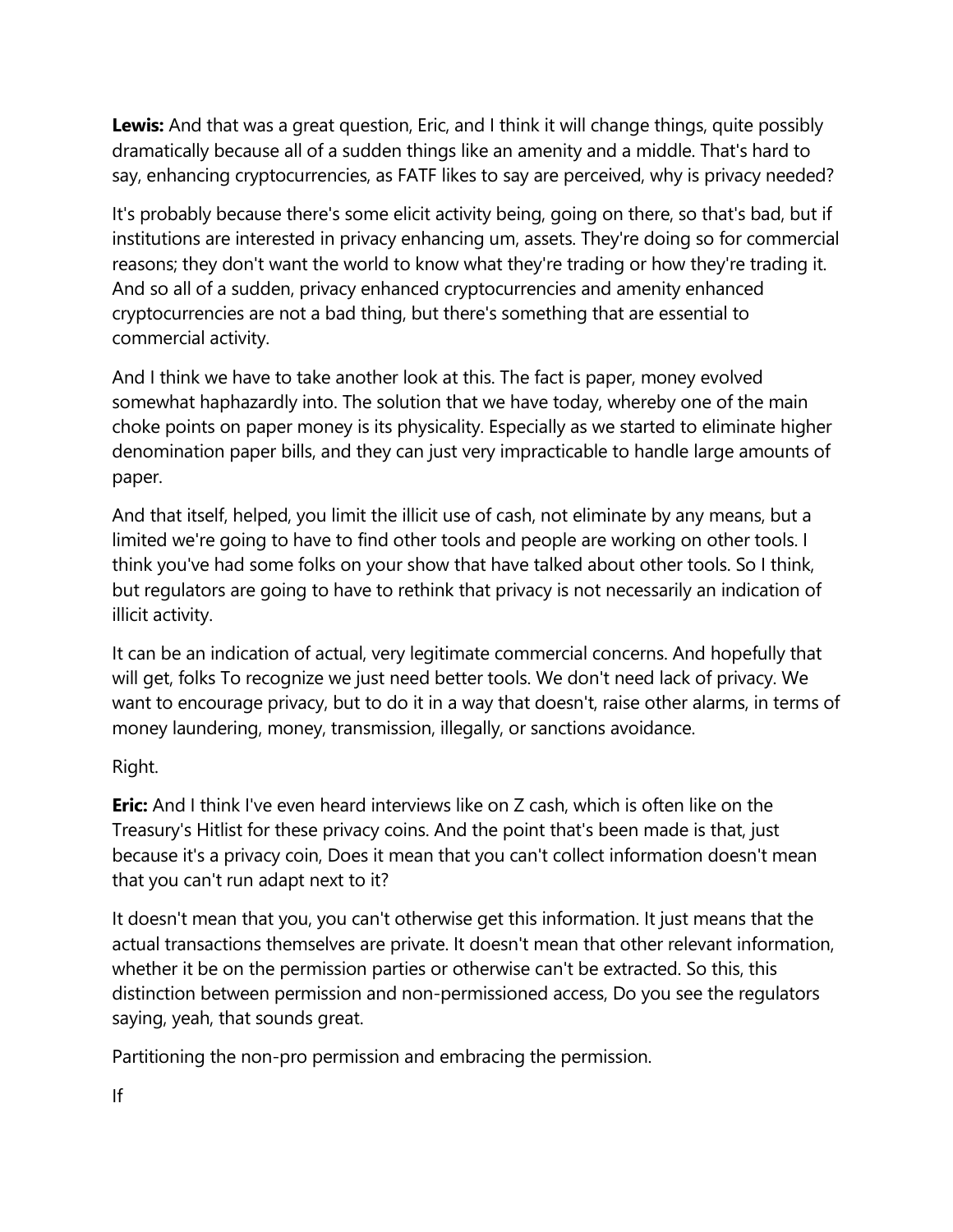**Lewis:** And that was a great question, Eric, and I think it will change things, quite possibly dramatically because all of a sudden things like an amenity and a middle. That's hard to say, enhancing cryptocurrencies, as FATF likes to say are perceived, why is privacy needed?

It's probably because there's some elicit activity being, going on there, so that's bad, but if institutions are interested in privacy enhancing um, assets. They're doing so for commercial reasons; they don't want the world to know what they're trading or how they're trading it. And so all of a sudden, privacy enhanced cryptocurrencies and amenity enhanced cryptocurrencies are not a bad thing, but there's something that are essential to commercial activity.

And I think we have to take another look at this. The fact is paper, money evolved somewhat haphazardly into. The solution that we have today, whereby one of the main choke points on paper money is its physicality. Especially as we started to eliminate higher denomination paper bills, and they can just very impracticable to handle large amounts of paper.

And that itself, helped, you limit the illicit use of cash, not eliminate by any means, but a limited we're going to have to find other tools and people are working on other tools. I think you've had some folks on your show that have talked about other tools. So I think, but regulators are going to have to rethink that privacy is not necessarily an indication of illicit activity.

It can be an indication of actual, very legitimate commercial concerns. And hopefully that will get, folks To recognize we just need better tools. We don't need lack of privacy. We want to encourage privacy, but to do it in a way that doesn't, raise other alarms, in terms of money laundering, money, transmission, illegally, or sanctions avoidance.

# Right.

**Eric:** And I think I've even heard interviews like on Z cash, which is often like on the Treasury's Hitlist for these privacy coins. And the point that's been made is that, just because it's a privacy coin, Does it mean that you can't collect information doesn't mean that you can't run adapt next to it?

It doesn't mean that you, you can't otherwise get this information. It just means that the actual transactions themselves are private. It doesn't mean that other relevant information, whether it be on the permission parties or otherwise can't be extracted. So this, this distinction between permission and non-permissioned access, Do you see the regulators saying, yeah, that sounds great.

Partitioning the non-pro permission and embracing the permission.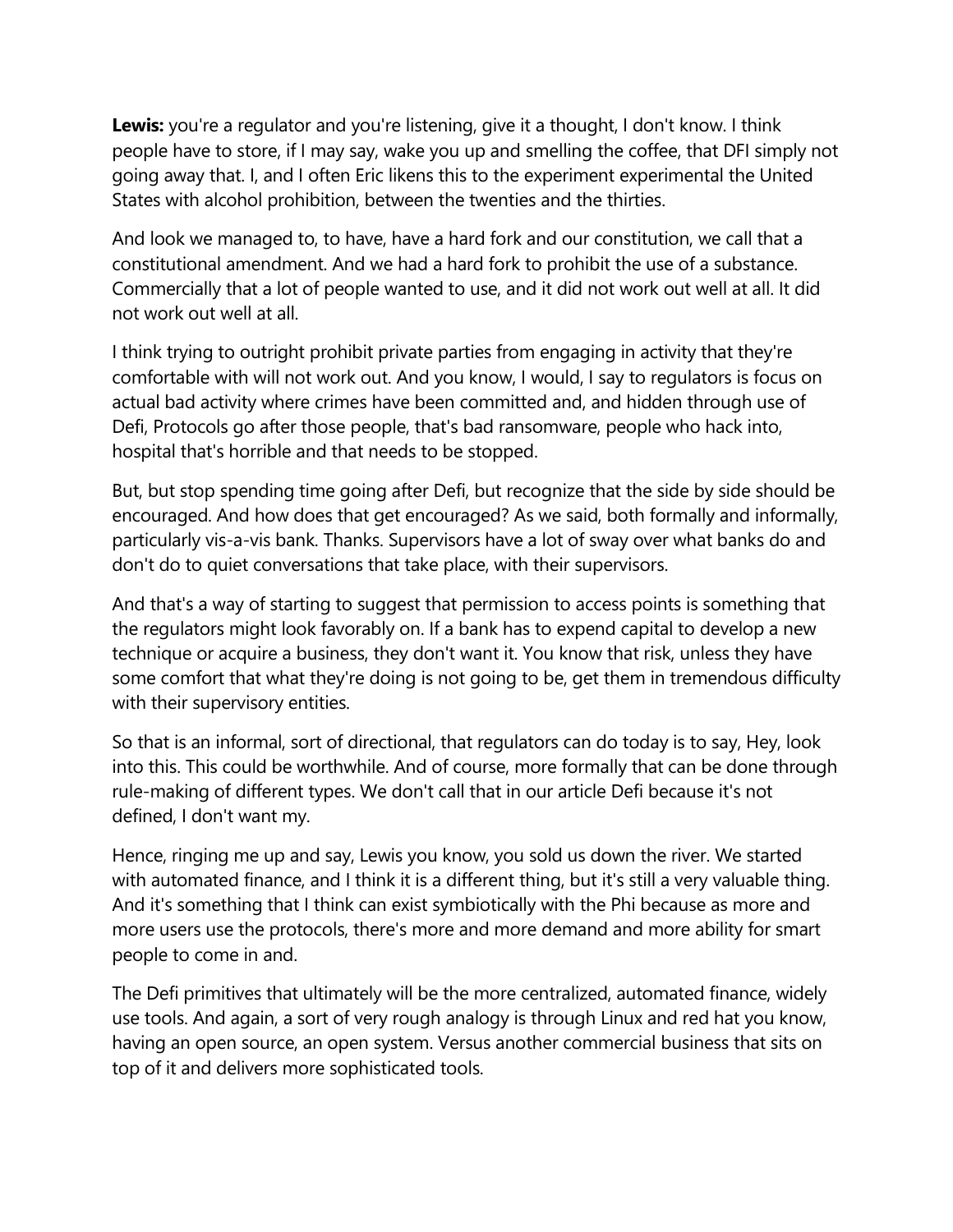**Lewis:** you're a regulator and you're listening, give it a thought, I don't know. I think people have to store, if I may say, wake you up and smelling the coffee, that DFI simply not going away that. I, and I often Eric likens this to the experiment experimental the United States with alcohol prohibition, between the twenties and the thirties.

And look we managed to, to have, have a hard fork and our constitution, we call that a constitutional amendment. And we had a hard fork to prohibit the use of a substance. Commercially that a lot of people wanted to use, and it did not work out well at all. It did not work out well at all.

I think trying to outright prohibit private parties from engaging in activity that they're comfortable with will not work out. And you know, I would, I say to regulators is focus on actual bad activity where crimes have been committed and, and hidden through use of Defi, Protocols go after those people, that's bad ransomware, people who hack into, hospital that's horrible and that needs to be stopped.

But, but stop spending time going after Defi, but recognize that the side by side should be encouraged. And how does that get encouraged? As we said, both formally and informally, particularly vis-a-vis bank. Thanks. Supervisors have a lot of sway over what banks do and don't do to quiet conversations that take place, with their supervisors.

And that's a way of starting to suggest that permission to access points is something that the regulators might look favorably on. If a bank has to expend capital to develop a new technique or acquire a business, they don't want it. You know that risk, unless they have some comfort that what they're doing is not going to be, get them in tremendous difficulty with their supervisory entities.

So that is an informal, sort of directional, that regulators can do today is to say, Hey, look into this. This could be worthwhile. And of course, more formally that can be done through rule-making of different types. We don't call that in our article Defi because it's not defined, I don't want my.

Hence, ringing me up and say, Lewis you know, you sold us down the river. We started with automated finance, and I think it is a different thing, but it's still a very valuable thing. And it's something that I think can exist symbiotically with the Phi because as more and more users use the protocols, there's more and more demand and more ability for smart people to come in and.

The Defi primitives that ultimately will be the more centralized, automated finance, widely use tools. And again, a sort of very rough analogy is through Linux and red hat you know, having an open source, an open system. Versus another commercial business that sits on top of it and delivers more sophisticated tools.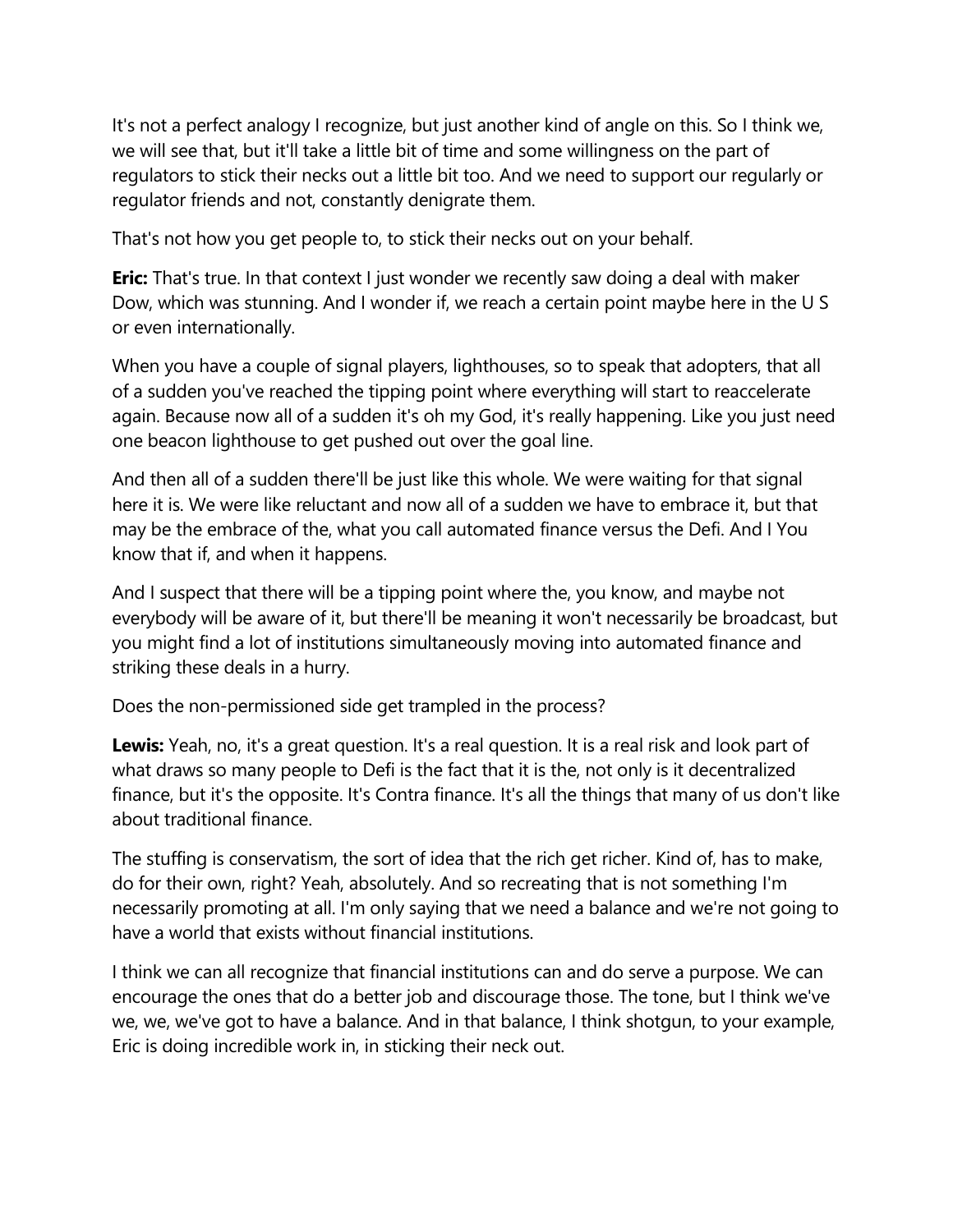It's not a perfect analogy I recognize, but just another kind of angle on this. So I think we, we will see that, but it'll take a little bit of time and some willingness on the part of regulators to stick their necks out a little bit too. And we need to support our regularly or regulator friends and not, constantly denigrate them.

That's not how you get people to, to stick their necks out on your behalf.

**Eric:** That's true. In that context I just wonder we recently saw doing a deal with maker Dow, which was stunning. And I wonder if, we reach a certain point maybe here in the U S or even internationally.

When you have a couple of signal players, lighthouses, so to speak that adopters, that all of a sudden you've reached the tipping point where everything will start to reaccelerate again. Because now all of a sudden it's oh my God, it's really happening. Like you just need one beacon lighthouse to get pushed out over the goal line.

And then all of a sudden there'll be just like this whole. We were waiting for that signal here it is. We were like reluctant and now all of a sudden we have to embrace it, but that may be the embrace of the, what you call automated finance versus the Defi. And I You know that if, and when it happens.

And I suspect that there will be a tipping point where the, you know, and maybe not everybody will be aware of it, but there'll be meaning it won't necessarily be broadcast, but you might find a lot of institutions simultaneously moving into automated finance and striking these deals in a hurry.

Does the non-permissioned side get trampled in the process?

**Lewis:** Yeah, no, it's a great question. It's a real question. It is a real risk and look part of what draws so many people to Defi is the fact that it is the, not only is it decentralized finance, but it's the opposite. It's Contra finance. It's all the things that many of us don't like about traditional finance.

The stuffing is conservatism, the sort of idea that the rich get richer. Kind of, has to make, do for their own, right? Yeah, absolutely. And so recreating that is not something I'm necessarily promoting at all. I'm only saying that we need a balance and we're not going to have a world that exists without financial institutions.

I think we can all recognize that financial institutions can and do serve a purpose. We can encourage the ones that do a better job and discourage those. The tone, but I think we've we, we, we've got to have a balance. And in that balance, I think shotgun, to your example, Eric is doing incredible work in, in sticking their neck out.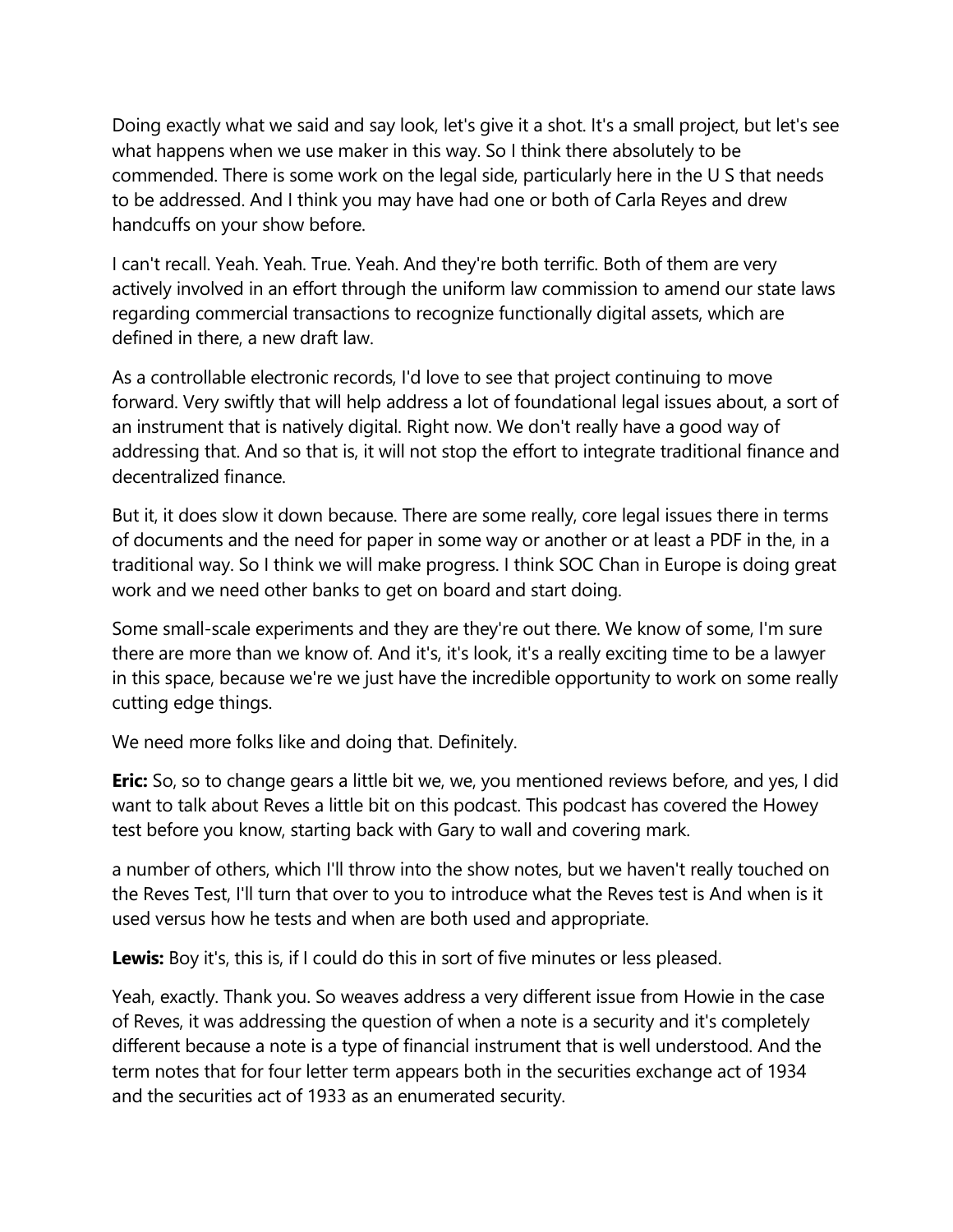Doing exactly what we said and say look, let's give it a shot. It's a small project, but let's see what happens when we use maker in this way. So I think there absolutely to be commended. There is some work on the legal side, particularly here in the U S that needs to be addressed. And I think you may have had one or both of Carla Reyes and drew handcuffs on your show before.

I can't recall. Yeah. Yeah. True. Yeah. And they're both terrific. Both of them are very actively involved in an effort through the uniform law commission to amend our state laws regarding commercial transactions to recognize functionally digital assets, which are defined in there, a new draft law.

As a controllable electronic records, I'd love to see that project continuing to move forward. Very swiftly that will help address a lot of foundational legal issues about, a sort of an instrument that is natively digital. Right now. We don't really have a good way of addressing that. And so that is, it will not stop the effort to integrate traditional finance and decentralized finance.

But it, it does slow it down because. There are some really, core legal issues there in terms of documents and the need for paper in some way or another or at least a PDF in the, in a traditional way. So I think we will make progress. I think SOC Chan in Europe is doing great work and we need other banks to get on board and start doing.

Some small-scale experiments and they are they're out there. We know of some, I'm sure there are more than we know of. And it's, it's look, it's a really exciting time to be a lawyer in this space, because we're we just have the incredible opportunity to work on some really cutting edge things.

We need more folks like and doing that. Definitely.

**Eric:** So, so to change gears a little bit we, we, you mentioned reviews before, and yes, I did want to talk about Reves a little bit on this podcast. This podcast has covered the Howey test before you know, starting back with Gary to wall and covering mark.

a number of others, which I'll throw into the show notes, but we haven't really touched on the Reves Test, I'll turn that over to you to introduce what the Reves test is And when is it used versus how he tests and when are both used and appropriate.

**Lewis:** Boy it's, this is, if I could do this in sort of five minutes or less pleased.

Yeah, exactly. Thank you. So weaves address a very different issue from Howie in the case of Reves, it was addressing the question of when a note is a security and it's completely different because a note is a type of financial instrument that is well understood. And the term notes that for four letter term appears both in the securities exchange act of 1934 and the securities act of 1933 as an enumerated security.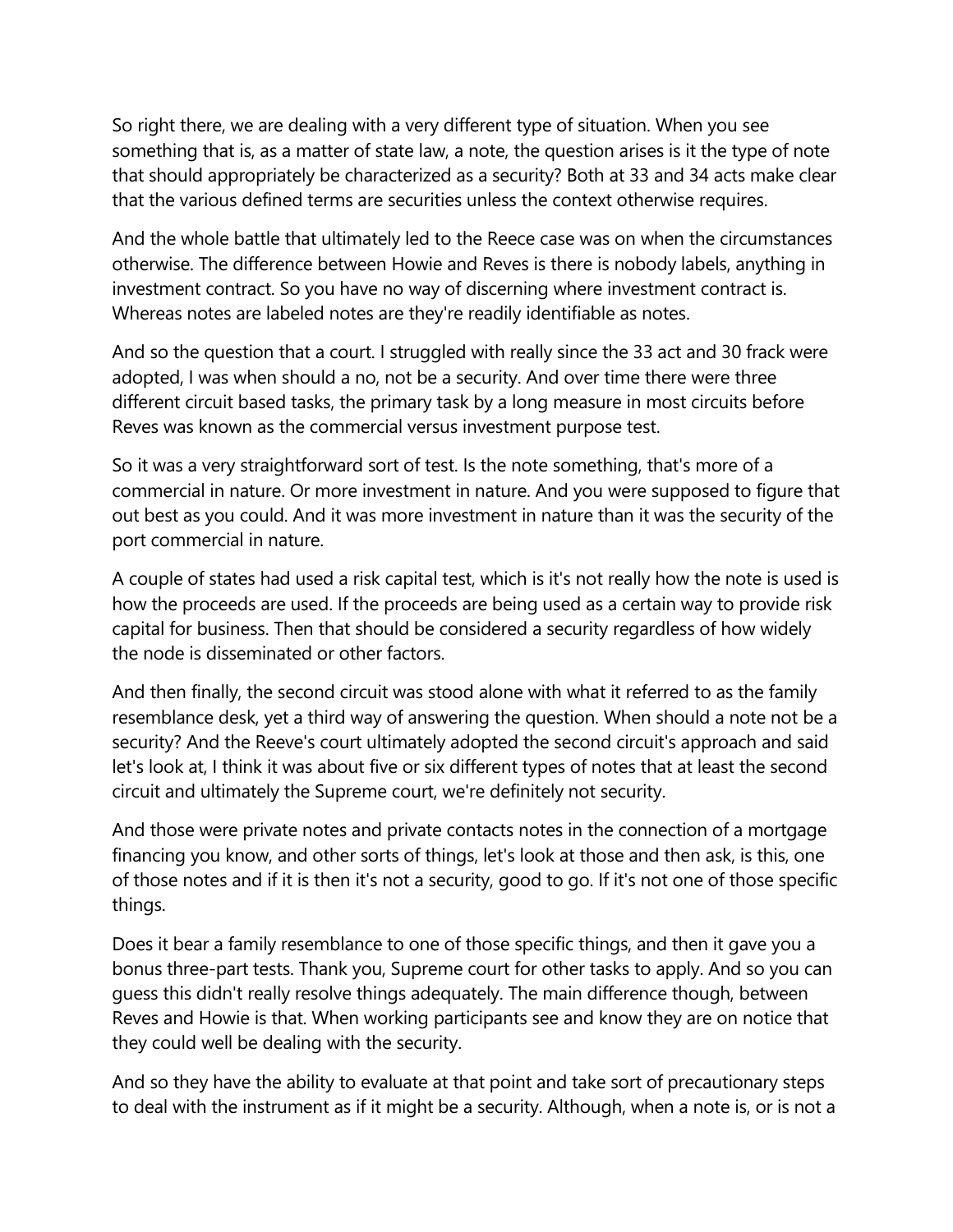So right there, we are dealing with a very different type of situation. When you see something that is, as a matter of state law, a note, the question arises is it the type of note that should appropriately be characterized as a security? Both at 33 and 34 acts make clear that the various defined terms are securities unless the context otherwise requires.

And the whole battle that ultimately led to the Reece case was on when the circumstances otherwise. The difference between Howie and Reves is there is nobody labels, anything in investment contract. So you have no way of discerning where investment contract is. Whereas notes are labeled notes are they're readily identifiable as notes.

And so the question that a court. I struggled with really since the 33 act and 30 frack were adopted, I was when should a no, not be a security. And over time there were three different circuit based tasks, the primary task by a long measure in most circuits before Reves was known as the commercial versus investment purpose test.

So it was a very straightforward sort of test. Is the note something, that's more of a commercial in nature. Or more investment in nature. And you were supposed to figure that out best as you could. And it was more investment in nature than it was the security of the port commercial in nature.

A couple of states had used a risk capital test, which is it's not really how the note is used is how the proceeds are used. If the proceeds are being used as a certain way to provide risk capital for business. Then that should be considered a security regardless of how widely the node is disseminated or other factors.

And then finally, the second circuit was stood alone with what it referred to as the family resemblance desk, yet a third way of answering the question. When should a note not be a security? And the Reeve's court ultimately adopted the second circuit's approach and said let's look at, I think it was about five or six different types of notes that at least the second circuit and ultimately the Supreme court, we're definitely not security.

And those were private notes and private contacts notes in the connection of a mortgage financing you know, and other sorts of things, let's look at those and then ask, is this, one of those notes and if it is then it's not a security, good to go. If it's not one of those specific things.

Does it bear a family resemblance to one of those specific things, and then it gave you a bonus three-part tests. Thank you, Supreme court for other tasks to apply. And so you can guess this didn't really resolve things adequately. The main difference though, between Reves and Howie is that. When working participants see and know they are on notice that they could well be dealing with the security.

And so they have the ability to evaluate at that point and take sort of precautionary steps to deal with the instrument as if it might be a security. Although, when a note is, or is not a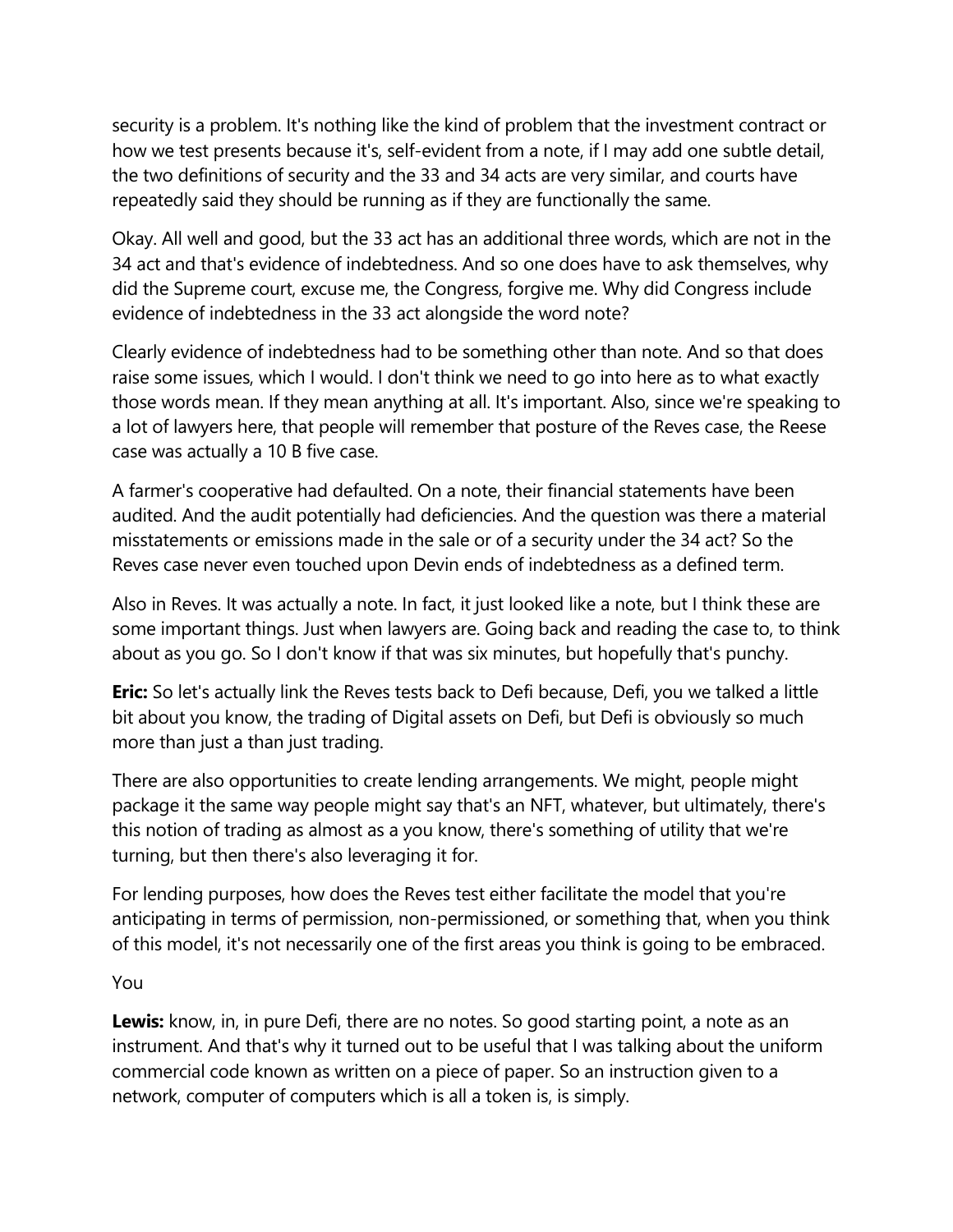security is a problem. It's nothing like the kind of problem that the investment contract or how we test presents because it's, self-evident from a note, if I may add one subtle detail, the two definitions of security and the 33 and 34 acts are very similar, and courts have repeatedly said they should be running as if they are functionally the same.

Okay. All well and good, but the 33 act has an additional three words, which are not in the 34 act and that's evidence of indebtedness. And so one does have to ask themselves, why did the Supreme court, excuse me, the Congress, forgive me. Why did Congress include evidence of indebtedness in the 33 act alongside the word note?

Clearly evidence of indebtedness had to be something other than note. And so that does raise some issues, which I would. I don't think we need to go into here as to what exactly those words mean. If they mean anything at all. It's important. Also, since we're speaking to a lot of lawyers here, that people will remember that posture of the Reves case, the Reese case was actually a 10 B five case.

A farmer's cooperative had defaulted. On a note, their financial statements have been audited. And the audit potentially had deficiencies. And the question was there a material misstatements or emissions made in the sale or of a security under the 34 act? So the Reves case never even touched upon Devin ends of indebtedness as a defined term.

Also in Reves. It was actually a note. In fact, it just looked like a note, but I think these are some important things. Just when lawyers are. Going back and reading the case to, to think about as you go. So I don't know if that was six minutes, but hopefully that's punchy.

**Eric:** So let's actually link the Reves tests back to Defi because, Defi, you we talked a little bit about you know, the trading of Digital assets on Defi, but Defi is obviously so much more than just a than just trading.

There are also opportunities to create lending arrangements. We might, people might package it the same way people might say that's an NFT, whatever, but ultimately, there's this notion of trading as almost as a you know, there's something of utility that we're turning, but then there's also leveraging it for.

For lending purposes, how does the Reves test either facilitate the model that you're anticipating in terms of permission, non-permissioned, or something that, when you think of this model, it's not necessarily one of the first areas you think is going to be embraced.

You

**Lewis:** know, in, in pure Defi, there are no notes. So good starting point, a note as an instrument. And that's why it turned out to be useful that I was talking about the uniform commercial code known as written on a piece of paper. So an instruction given to a network, computer of computers which is all a token is, is simply.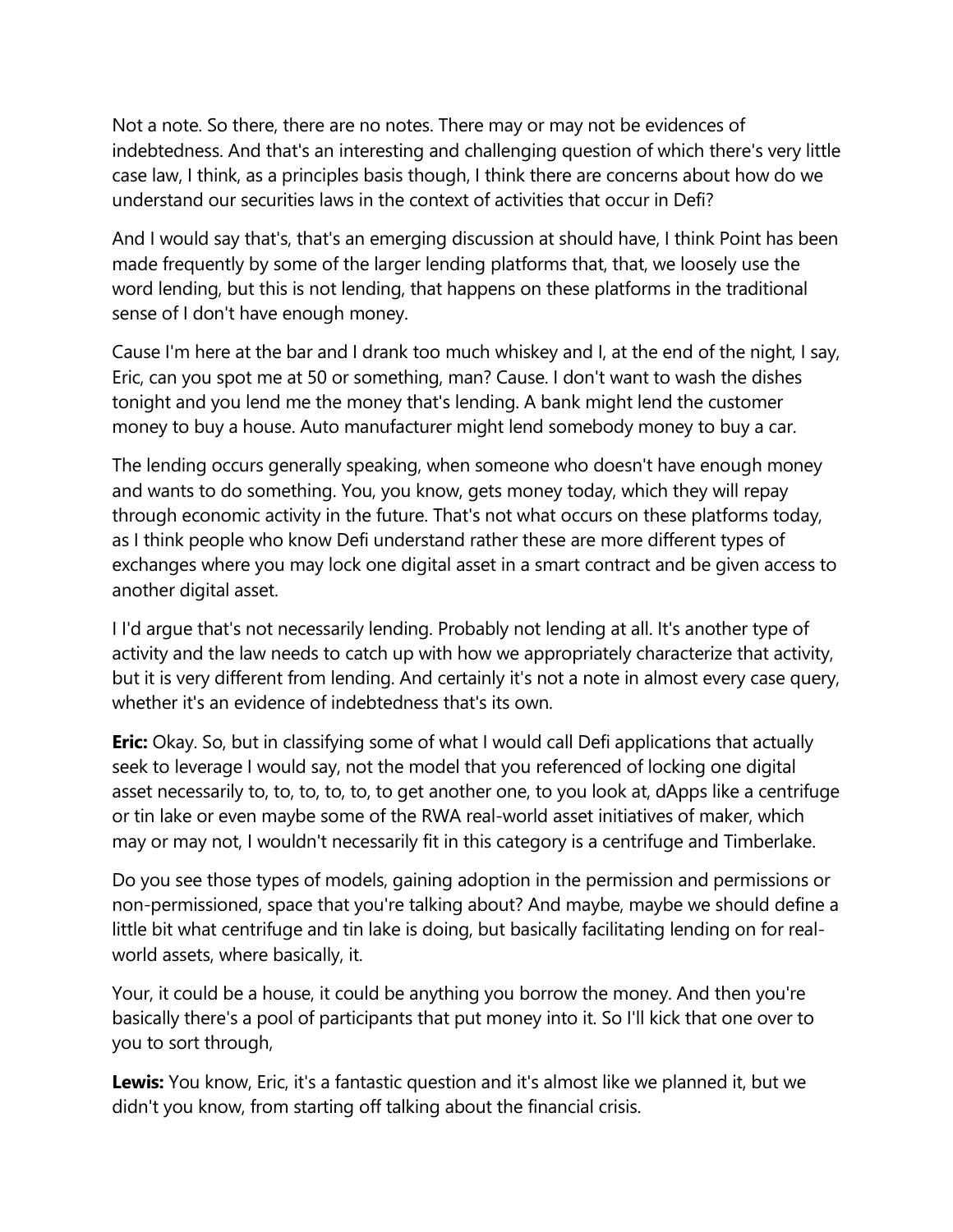Not a note. So there, there are no notes. There may or may not be evidences of indebtedness. And that's an interesting and challenging question of which there's very little case law, I think, as a principles basis though, I think there are concerns about how do we understand our securities laws in the context of activities that occur in Defi?

And I would say that's, that's an emerging discussion at should have, I think Point has been made frequently by some of the larger lending platforms that, that, we loosely use the word lending, but this is not lending, that happens on these platforms in the traditional sense of I don't have enough money.

Cause I'm here at the bar and I drank too much whiskey and I, at the end of the night, I say, Eric, can you spot me at 50 or something, man? Cause. I don't want to wash the dishes tonight and you lend me the money that's lending. A bank might lend the customer money to buy a house. Auto manufacturer might lend somebody money to buy a car.

The lending occurs generally speaking, when someone who doesn't have enough money and wants to do something. You, you know, gets money today, which they will repay through economic activity in the future. That's not what occurs on these platforms today, as I think people who know Defi understand rather these are more different types of exchanges where you may lock one digital asset in a smart contract and be given access to another digital asset.

I I'd argue that's not necessarily lending. Probably not lending at all. It's another type of activity and the law needs to catch up with how we appropriately characterize that activity, but it is very different from lending. And certainly it's not a note in almost every case query, whether it's an evidence of indebtedness that's its own.

**Eric:** Okay. So, but in classifying some of what I would call Defi applications that actually seek to leverage I would say, not the model that you referenced of locking one digital asset necessarily to, to, to, to, to, to get another one, to you look at, dApps like a centrifuge or tin lake or even maybe some of the RWA real-world asset initiatives of maker, which may or may not, I wouldn't necessarily fit in this category is a centrifuge and Timberlake.

Do you see those types of models, gaining adoption in the permission and permissions or non-permissioned, space that you're talking about? And maybe, maybe we should define a little bit what centrifuge and tin lake is doing, but basically facilitating lending on for realworld assets, where basically, it.

Your, it could be a house, it could be anything you borrow the money. And then you're basically there's a pool of participants that put money into it. So I'll kick that one over to you to sort through,

**Lewis:** You know, Eric, it's a fantastic question and it's almost like we planned it, but we didn't you know, from starting off talking about the financial crisis.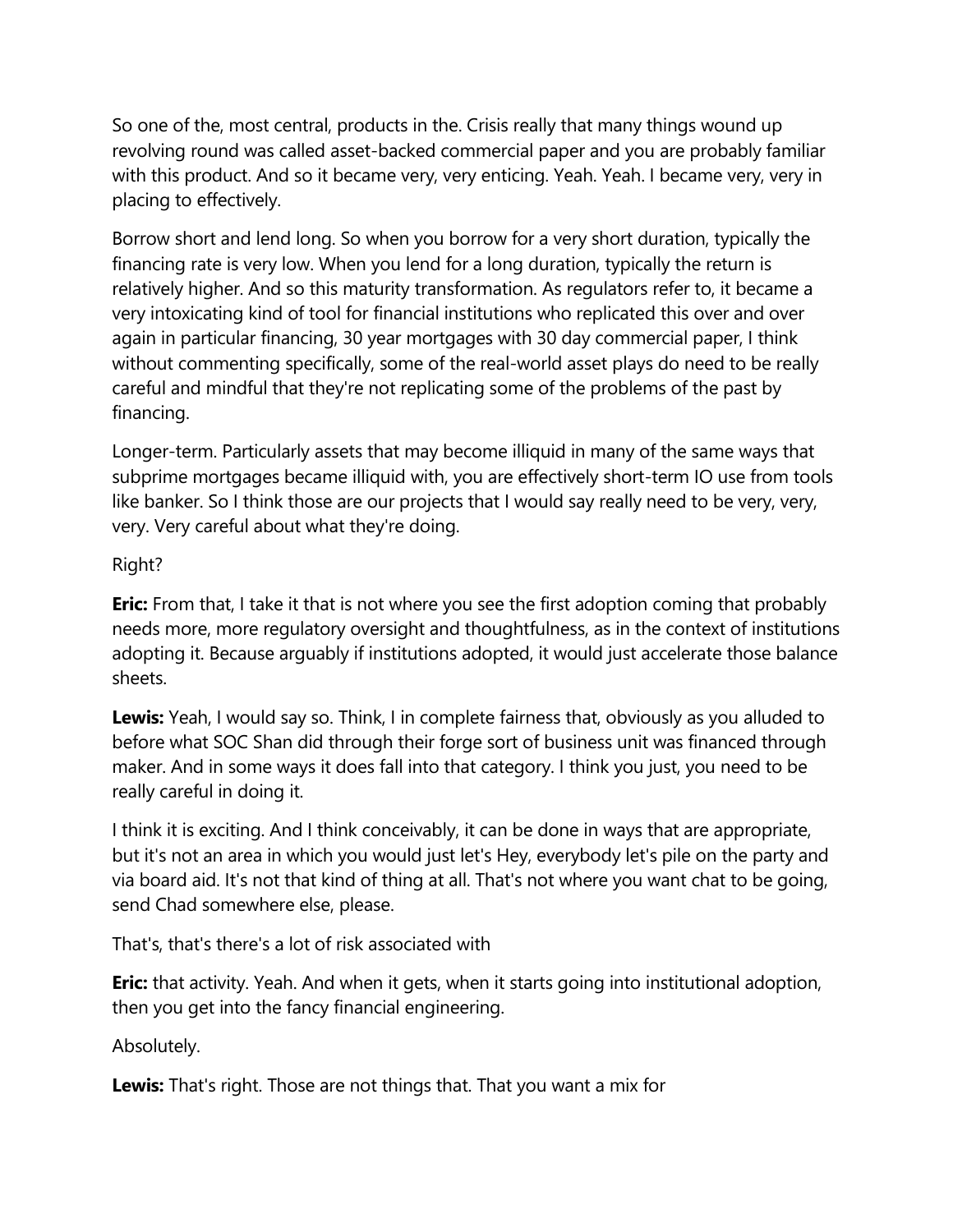So one of the, most central, products in the. Crisis really that many things wound up revolving round was called asset-backed commercial paper and you are probably familiar with this product. And so it became very, very enticing. Yeah. Yeah. I became very, very in placing to effectively.

Borrow short and lend long. So when you borrow for a very short duration, typically the financing rate is very low. When you lend for a long duration, typically the return is relatively higher. And so this maturity transformation. As regulators refer to, it became a very intoxicating kind of tool for financial institutions who replicated this over and over again in particular financing, 30 year mortgages with 30 day commercial paper, I think without commenting specifically, some of the real-world asset plays do need to be really careful and mindful that they're not replicating some of the problems of the past by financing.

Longer-term. Particularly assets that may become illiquid in many of the same ways that subprime mortgages became illiquid with, you are effectively short-term IO use from tools like banker. So I think those are our projects that I would say really need to be very, very, very. Very careful about what they're doing.

# Right?

**Eric:** From that, I take it that is not where you see the first adoption coming that probably needs more, more regulatory oversight and thoughtfulness, as in the context of institutions adopting it. Because arguably if institutions adopted, it would just accelerate those balance sheets.

**Lewis:** Yeah, I would say so. Think, I in complete fairness that, obviously as you alluded to before what SOC Shan did through their forge sort of business unit was financed through maker. And in some ways it does fall into that category. I think you just, you need to be really careful in doing it.

I think it is exciting. And I think conceivably, it can be done in ways that are appropriate, but it's not an area in which you would just let's Hey, everybody let's pile on the party and via board aid. It's not that kind of thing at all. That's not where you want chat to be going, send Chad somewhere else, please.

That's, that's there's a lot of risk associated with

**Eric:** that activity. Yeah. And when it gets, when it starts going into institutional adoption, then you get into the fancy financial engineering.

Absolutely.

**Lewis:** That's right. Those are not things that. That you want a mix for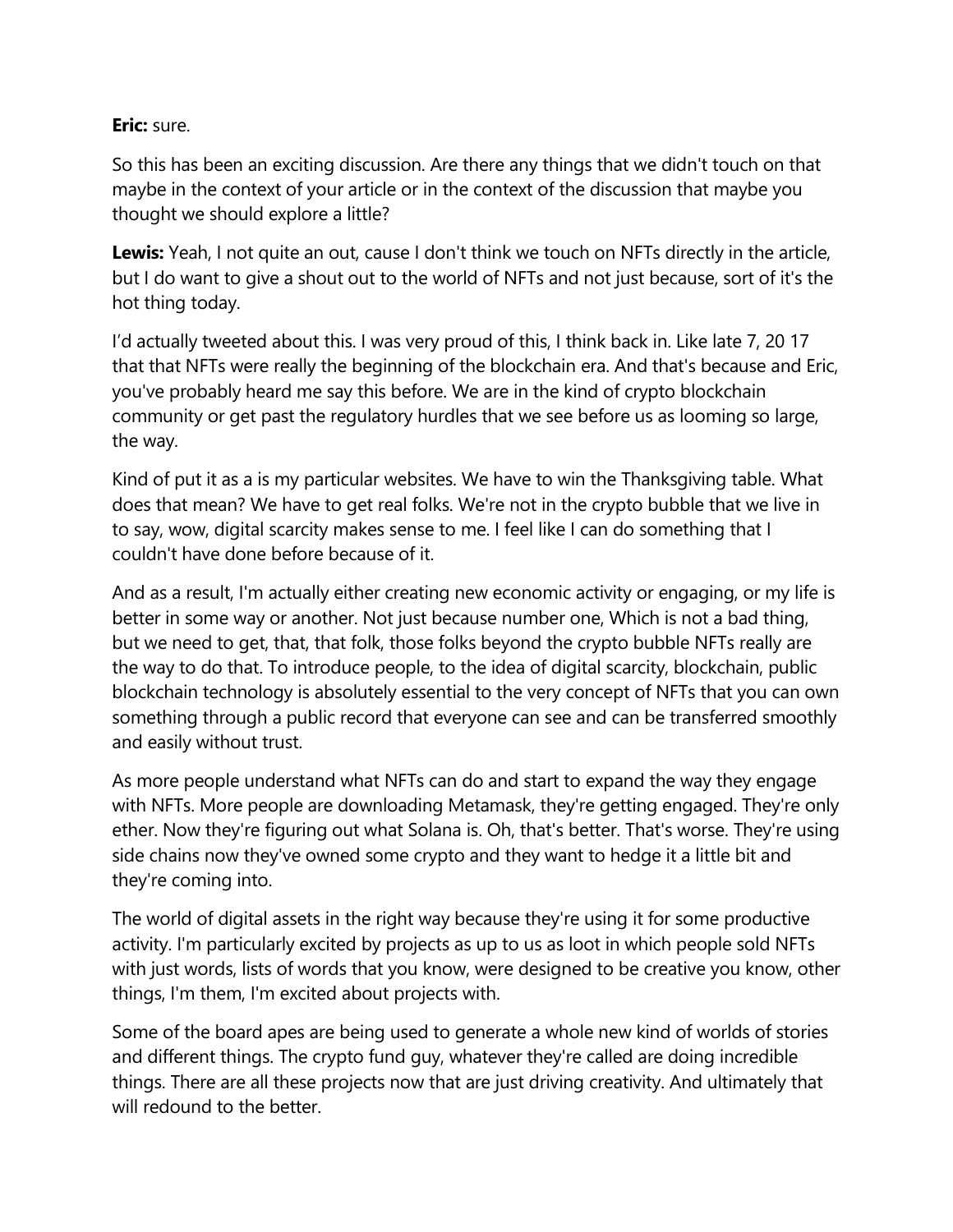# **Eric:** sure.

So this has been an exciting discussion. Are there any things that we didn't touch on that maybe in the context of your article or in the context of the discussion that maybe you thought we should explore a little?

**Lewis:** Yeah, I not quite an out, cause I don't think we touch on NFTs directly in the article, but I do want to give a shout out to the world of NFTs and not just because, sort of it's the hot thing today.

I'd actually tweeted about this. I was very proud of this, I think back in. Like late 7, 20 17 that that NFTs were really the beginning of the blockchain era. And that's because and Eric, you've probably heard me say this before. We are in the kind of crypto blockchain community or get past the regulatory hurdles that we see before us as looming so large, the way.

Kind of put it as a is my particular websites. We have to win the Thanksgiving table. What does that mean? We have to get real folks. We're not in the crypto bubble that we live in to say, wow, digital scarcity makes sense to me. I feel like I can do something that I couldn't have done before because of it.

And as a result, I'm actually either creating new economic activity or engaging, or my life is better in some way or another. Not just because number one, Which is not a bad thing, but we need to get, that, that folk, those folks beyond the crypto bubble NFTs really are the way to do that. To introduce people, to the idea of digital scarcity, blockchain, public blockchain technology is absolutely essential to the very concept of NFTs that you can own something through a public record that everyone can see and can be transferred smoothly and easily without trust.

As more people understand what NFTs can do and start to expand the way they engage with NFTs. More people are downloading Metamask, they're getting engaged. They're only ether. Now they're figuring out what Solana is. Oh, that's better. That's worse. They're using side chains now they've owned some crypto and they want to hedge it a little bit and they're coming into.

The world of digital assets in the right way because they're using it for some productive activity. I'm particularly excited by projects as up to us as loot in which people sold NFTs with just words, lists of words that you know, were designed to be creative you know, other things, I'm them, I'm excited about projects with.

Some of the board apes are being used to generate a whole new kind of worlds of stories and different things. The crypto fund guy, whatever they're called are doing incredible things. There are all these projects now that are just driving creativity. And ultimately that will redound to the better.